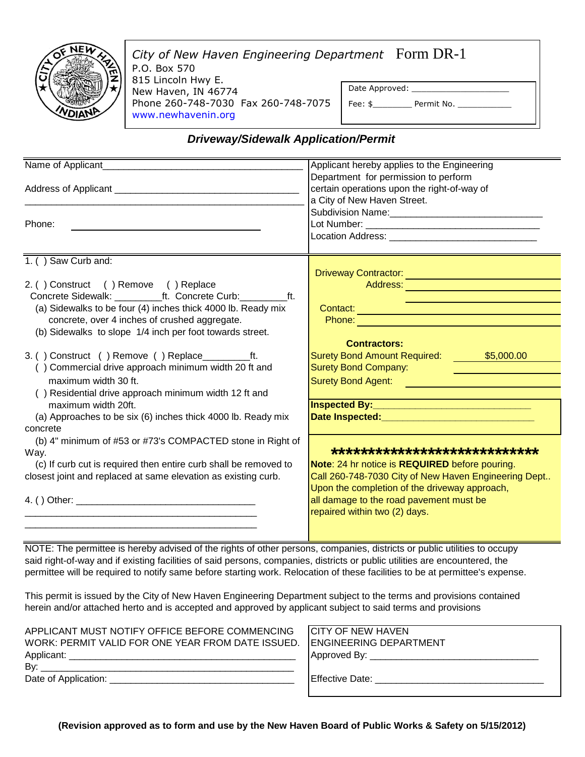

*City of New Haven Engineering Department* Form DR-1 P.O. Box 570 815 Lincoln Hwy E. New Haven, IN 46774 Phone 260-748-7030 Fax 260-748-7075 www.newhavenin.org Date Approved: Fee: \$\_\_\_\_\_\_\_\_\_\_\_\_\_ Permit No. \_\_\_\_\_\_

## *Driveway/Sidewalk Application/Permit*

| Name of Applicant_                                               | Applicant hereby applies to the Engineering                                                                                                                                                                                          |
|------------------------------------------------------------------|--------------------------------------------------------------------------------------------------------------------------------------------------------------------------------------------------------------------------------------|
|                                                                  | Department for permission to perform                                                                                                                                                                                                 |
|                                                                  | certain operations upon the right-of-way of                                                                                                                                                                                          |
|                                                                  | a City of New Haven Street.                                                                                                                                                                                                          |
|                                                                  |                                                                                                                                                                                                                                      |
| Phone:                                                           |                                                                                                                                                                                                                                      |
|                                                                  |                                                                                                                                                                                                                                      |
| 1. () Saw Curb and:                                              |                                                                                                                                                                                                                                      |
|                                                                  | Driveway Contractor: New York Contractor Contractor                                                                                                                                                                                  |
| 2. () Construct () Remove () Replace                             | Address: Address: Address: Address: Address: Address: Address: Address: Address: Address: Address: A                                                                                                                                 |
| Concrete Sidewalk: ___________ft. Concrete Curb: ___________ft.  |                                                                                                                                                                                                                                      |
| (a) Sidewalks to be four (4) inches thick 4000 lb. Ready mix     |                                                                                                                                                                                                                                      |
| concrete, over 4 inches of crushed aggregate.                    | Contact: Contact: Contact: Contact: Contact: Contact: Contact: Contact: Contact: Contact: Contact: Contact: Co<br>Phone: 2008 2009 2009 2009 2009 2009 2010 2021 2022 2023 2024 2022 2023 2024 2022 2023 2024 2022 2023              |
| (b) Sidewalks to slope 1/4 inch per foot towards street.         |                                                                                                                                                                                                                                      |
|                                                                  | <b>Contractors:</b>                                                                                                                                                                                                                  |
|                                                                  | Surety Bond Amount Required: \$5,000.00                                                                                                                                                                                              |
| () Commercial drive approach minimum width 20 ft and             | <b>Surety Bond Company:</b>                                                                                                                                                                                                          |
| maximum width 30 ft.                                             | Surety Bond Agent: <b>Contract Contract Contract Contract Contract Contract Contract Contract Contract Contract Contract Contract Contract Contract Contract Contract Contract Contract Contract Contract Contract Contract Cont</b> |
| () Residential drive approach minimum width 12 ft and            |                                                                                                                                                                                                                                      |
| maximum width 20ft.                                              | Inspected By: <b>Manual Properties</b>                                                                                                                                                                                               |
| (a) Approaches to be six (6) inches thick 4000 lb. Ready mix     | Date Inspected: Management Professor                                                                                                                                                                                                 |
| concrete                                                         |                                                                                                                                                                                                                                      |
| (b) 4" minimum of #53 or #73's COMPACTED stone in Right of       |                                                                                                                                                                                                                                      |
| Way.                                                             | *****************************                                                                                                                                                                                                        |
| (c) If curb cut is required then entire curb shall be removed to | Note: 24 hr notice is REQUIRED before pouring.                                                                                                                                                                                       |
| closest joint and replaced at same elevation as existing curb.   | Call 260-748-7030 City of New Haven Engineering Dept                                                                                                                                                                                 |
|                                                                  | Upon the completion of the driveway approach,                                                                                                                                                                                        |
|                                                                  | all damage to the road pavement must be                                                                                                                                                                                              |
|                                                                  | repaired within two (2) days.                                                                                                                                                                                                        |
|                                                                  |                                                                                                                                                                                                                                      |
|                                                                  |                                                                                                                                                                                                                                      |

NOTE: The permittee is hereby advised of the rights of other persons, companies, districts or public utilities to occupy said right-of-way and if existing facilities of said persons, companies, districts or public utilities are encountered, the permittee will be required to notify same before starting work. Relocation of these facilities to be at permittee's expense.

This permit is issued by the City of New Haven Engineering Department subject to the terms and provisions contained herein and/or attached herto and is accepted and approved by applicant subject to said terms and provisions

| APPLICANT MUST NOTIFY OFFICE BEFORE COMMENCING                           | <b>ICITY OF NEW HAVEN</b> |
|--------------------------------------------------------------------------|---------------------------|
| WORK: PERMIT VALID FOR ONE YEAR FROM DATE ISSUED. ENGINEERING DEPARTMENT |                           |
| Applicant:                                                               |                           |
| By:                                                                      |                           |
|                                                                          | <b>IEffective Date:</b>   |
|                                                                          |                           |